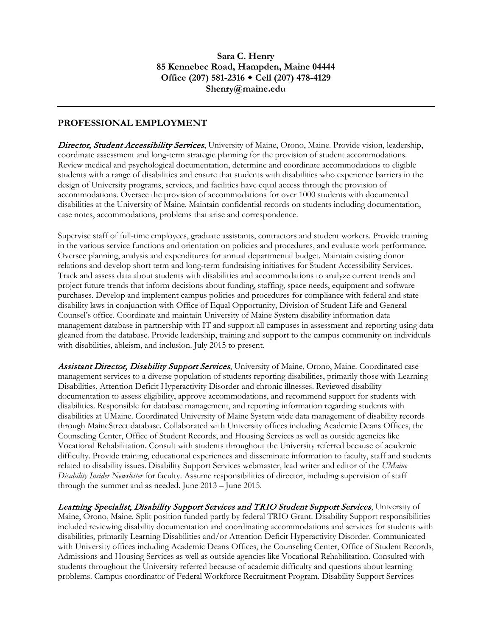### **PROFESSIONAL EMPLOYMENT**

Director, Student Accessibility Services, University of Maine, Orono, Maine. Provide vision, leadership, coordinate assessment and long-term strategic planning for the provision of student accommodations. Review medical and psychological documentation, determine and coordinate accommodations to eligible students with a range of disabilities and ensure that students with disabilities who experience barriers in the design of University programs, services, and facilities have equal access through the provision of accommodations. Oversee the provision of accommodations for over 1000 students with documented disabilities at the University of Maine. Maintain confidential records on students including documentation, case notes, accommodations, problems that arise and correspondence.

Supervise staff of full-time employees, graduate assistants, contractors and student workers. Provide training in the various service functions and orientation on policies and procedures, and evaluate work performance. Oversee planning, analysis and expenditures for annual departmental budget. Maintain existing donor relations and develop short term and long-term fundraising initiatives for Student Accessibility Services. Track and assess data about students with disabilities and accommodations to analyze current trends and project future trends that inform decisions about funding, staffing, space needs, equipment and software purchases. Develop and implement campus policies and procedures for compliance with federal and state disability laws in conjunction with Office of Equal Opportunity, Division of Student Life and General Counsel's office. Coordinate and maintain University of Maine System disability information data management database in partnership with IT and support all campuses in assessment and reporting using data gleaned from the database. Provide leadership, training and support to the campus community on individuals with disabilities, ableism, and inclusion. July 2015 to present.

Assistant Director, Disability Support Services, University of Maine, Orono, Maine. Coordinated case management services to a diverse population of students reporting disabilities, primarily those with Learning Disabilities, Attention Deficit Hyperactivity Disorder and chronic illnesses. Reviewed disability documentation to assess eligibility, approve accommodations, and recommend support for students with disabilities. Responsible for database management, and reporting information regarding students with disabilities at UMaine. Coordinated University of Maine System wide data management of disability records through MaineStreet database. Collaborated with University offices including Academic Deans Offices, the Counseling Center, Office of Student Records, and Housing Services as well as outside agencies like Vocational Rehabilitation. Consult with students throughout the University referred because of academic difficulty. Provide training, educational experiences and disseminate information to faculty, staff and students related to disability issues. Disability Support Services webmaster, lead writer and editor of the *UMaine Disability Insider Newsletter* for faculty. Assume responsibilities of director, including supervision of staff through the summer and as needed. June 2013 – June 2015.

Learning Specialist, Disability Support Services and TRIO Student Support Services, University of Maine, Orono, Maine. Split position funded partly by federal TRIO Grant. Disability Support responsibilities included reviewing disability documentation and coordinating accommodations and services for students with disabilities, primarily Learning Disabilities and/or Attention Deficit Hyperactivity Disorder. Communicated with University offices including Academic Deans Offices, the Counseling Center, Office of Student Records, Admissions and Housing Services as well as outside agencies like Vocational Rehabilitation. Consulted with students throughout the University referred because of academic difficulty and questions about learning problems. Campus coordinator of Federal Workforce Recruitment Program. Disability Support Services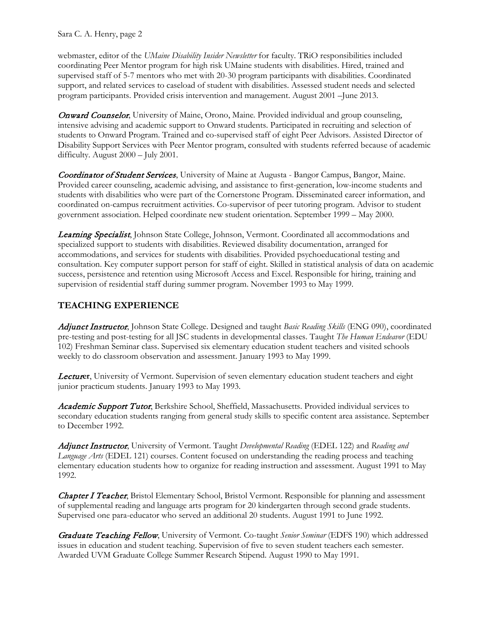Sara C. A. Henry, page 2

webmaster, editor of the *UMaine Disability Insider Newsletter* for faculty. TRiO responsibilities included coordinating Peer Mentor program for high risk UMaine students with disabilities. Hired, trained and supervised staff of 5-7 mentors who met with 20-30 program participants with disabilities. Coordinated support, and related services to caseload of student with disabilities. Assessed student needs and selected program participants. Provided crisis intervention and management. August 2001 –June 2013.

**Onward Counselor**, University of Maine, Orono, Maine. Provided individual and group counseling, intensive advising and academic support to Onward students. Participated in recruiting and selection of students to Onward Program. Trained and co-supervised staff of eight Peer Advisors. Assisted Director of Disability Support Services with Peer Mentor program, consulted with students referred because of academic difficulty. August 2000 – July 2001.

Coordinator of Student Services, University of Maine at Augusta - Bangor Campus, Bangor, Maine. Provided career counseling, academic advising, and assistance to first-generation, low-income students and students with disabilities who were part of the Cornerstone Program. Disseminated career information, and coordinated on-campus recruitment activities. Co-supervisor of peer tutoring program. Advisor to student government association. Helped coordinate new student orientation. September 1999 – May 2000.

Learning Specialist, Johnson State College, Johnson, Vermont. Coordinated all accommodations and specialized support to students with disabilities. Reviewed disability documentation, arranged for accommodations, and services for students with disabilities. Provided psychoeducational testing and consultation. Key computer support person for staff of eight. Skilled in statistical analysis of data on academic success, persistence and retention using Microsoft Access and Excel. Responsible for hiring, training and supervision of residential staff during summer program. November 1993 to May 1999.

### **TEACHING EXPERIENCE**

Adjunct Instructor, Johnson State College. Designed and taught *Basic Reading Skills* (ENG 090), coordinated pre-testing and post-testing for all JSC students in developmental classes. Taught *The Human Endeavor* (EDU 102) Freshman Seminar class. Supervised six elementary education student teachers and visited schools weekly to do classroom observation and assessment. January 1993 to May 1999.

Lectur**er**, University of Vermont. Supervision of seven elementary education student teachers and eight junior practicum students. January 1993 to May 1993.

Academic Support Tutor, Berkshire School, Sheffield, Massachusetts. Provided individual services to secondary education students ranging from general study skills to specific content area assistance. September to December 1992.

Adjunct Instructor, University of Vermont. Taught *Developmental Reading* (EDEL 122) and *Reading and Language Arts* (EDEL 121) courses. Content focused on understanding the reading process and teaching elementary education students how to organize for reading instruction and assessment. August 1991 to May 1992.

**Chapter I Teacher**, Bristol Elementary School, Bristol Vermont. Responsible for planning and assessment of supplemental reading and language arts program for 20 kindergarten through second grade students. Supervised one para-educator who served an additional 20 students. August 1991 to June 1992.

Graduate Teaching Fellow, University of Vermont. Co-taught *Senior Seminar* (EDFS 190) which addressed issues in education and student teaching. Supervision of five to seven student teachers each semester. Awarded UVM Graduate College Summer Research Stipend. August 1990 to May 1991.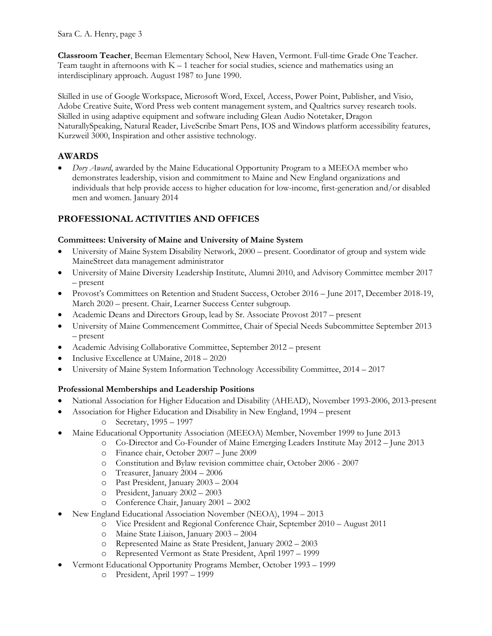**Classroom Teacher**, Beeman Elementary School, New Haven, Vermont. Full-time Grade One Teacher. Team taught in afternoons with  $K - 1$  teacher for social studies, science and mathematics using an interdisciplinary approach. August 1987 to June 1990.

Skilled in use of Google Workspace, Microsoft Word, Excel, Access, Power Point, Publisher, and Visio, Adobe Creative Suite, Word Press web content management system, and Qualtrics survey research tools. Skilled in using adaptive equipment and software including Glean Audio Notetaker, Dragon NaturallySpeaking, Natural Reader, LiveScribe Smart Pens, IOS and Windows platform accessibility features, Kurzweil 3000, Inspiration and other assistive technology.

## **AWARDS**

• *Dory Award*, awarded by the Maine Educational Opportunity Program to a MEEOA member who demonstrates leadership, vision and commitment to Maine and New England organizations and individuals that help provide access to higher education for low-income, first-generation and/or disabled men and women. January 2014

# **PROFESSIONAL ACTIVITIES AND OFFICES**

#### **Committees: University of Maine and University of Maine System**

- University of Maine System Disability Network, 2000 present. Coordinator of group and system wide MaineStreet data management administrator
- University of Maine Diversity Leadership Institute, Alumni 2010, and Advisory Committee member 2017 – present
- Provost's Committees on Retention and Student Success, October 2016 June 2017, December 2018-19, March 2020 – present. Chair, Learner Success Center subgroup.
- Academic Deans and Directors Group, lead by Sr. Associate Provost 2017 present
- University of Maine Commencement Committee, Chair of Special Needs Subcommittee September 2013 – present
- Academic Advising Collaborative Committee, September 2012 present
- Inclusive Excellence at UMaine, 2018 2020
- University of Maine System Information Technology Accessibility Committee, 2014 2017

### **Professional Memberships and Leadership Positions**

- National Association for Higher Education and Disability (AHEAD), November 1993-2006, 2013-present
- Association for Higher Education and Disability in New England, 1994 present
	- o Secretary, 1995 1997
- Maine Educational Opportunity Association (MEEOA) Member, November 1999 to June 2013
	- o Co-Director and Co-Founder of Maine Emerging Leaders Institute May 2012 June 2013
		- o Finance chair, October 2007 June 2009
		- o Constitution and Bylaw revision committee chair, October 2006 2007
		- o Treasurer, January 2004 2006
		- o Past President, January 2003 2004
		- o President, January 2002 2003
		- o Conference Chair, January 2001 2002
	- New England Educational Association November (NEOA), 1994 2013
		- o Vice President and Regional Conference Chair, September 2010 August 2011
		- o Maine State Liaison, January 2003 2004
		- o Represented Maine as State President, January 2002 2003
		- o Represented Vermont as State President, April 1997 1999
- Vermont Educational Opportunity Programs Member, October 1993 1999
	- o President, April 1997 1999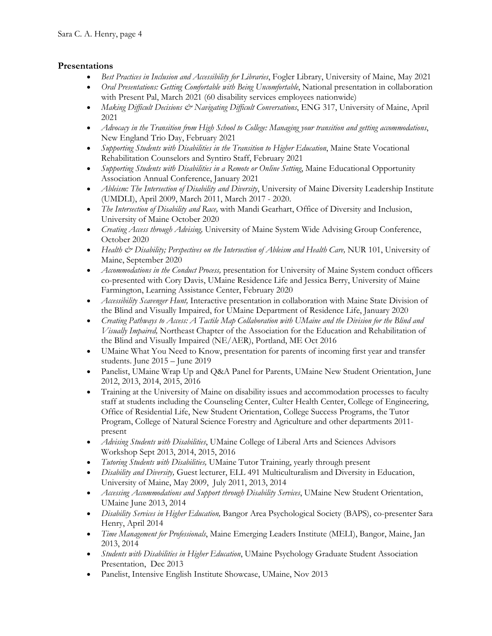### **Presentations**

- *Best Practices in Inclusion and Accessibility for Libraries*, Fogler Library, University of Maine, May 2021
- *Oral Presentations: Getting Comfortable with Being Uncomfortable*, National presentation in collaboration with Present Pal, March 2021 (60 disability services employees nationwide)
- *Making Difficult Decisions & Navigating Difficult Conversations*, ENG 317, University of Maine, April 2021
- *Advocacy in the Transition from High School to College: Managing your transition and getting accommodations*, New England Trio Day, February 2021
- *Supporting Students with Disabilities in the Transition to Higher Education*, Maine State Vocational Rehabilitation Counselors and Syntiro Staff, February 2021
- *Supporting Students with Disabilities in a Remote or Online Setting*, Maine Educational Opportunity Association Annual Conference, January 2021
- *Ableism: The Intersection of Disability and Diversity*, University of Maine Diversity Leadership Institute (UMDLI), April 2009, March 2011, March 2017 - 2020.
- *The Intersection of Disability and Race,* with Mandi Gearhart, Office of Diversity and Inclusion, University of Maine October 2020
- *Creating Access through Advising,* University of Maine System Wide Advising Group Conference, October 2020
- *Health & Disability; Perspectives on the Intersection of Ableism and Health Care, NUR 101, University of* Maine, September 2020
- *Accommodations in the Conduct Process,* presentation for University of Maine System conduct officers co-presented with Cory Davis, UMaine Residence Life and Jessica Berry, University of Maine Farmington, Learning Assistance Center, February 2020
- *Accessibility Scavenger Hunt*, Interactive presentation in collaboration with Maine State Division of the Blind and Visually Impaired, for UMaine Department of Residence Life, January 2020
- *Creating Pathways to Access: A Tactile Map Collaboration with UMaine and the Division for the Blind and Visually Impaired,* Northeast Chapter of the Association for the Education and Rehabilitation of the Blind and Visually Impaired (NE/AER), Portland, ME Oct 2016
- UMaine What You Need to Know, presentation for parents of incoming first year and transfer students. June 2015 – June 2019
- Panelist, UMaine Wrap Up and Q&A Panel for Parents, UMaine New Student Orientation, June 2012, 2013, 2014, 2015, 2016
- Training at the University of Maine on disability issues and accommodation processes to faculty staff at students including the Counseling Center, Culter Health Center, College of Engineering, Office of Residential Life, New Student Orientation, College Success Programs, the Tutor Program, College of Natural Science Forestry and Agriculture and other departments 2011 present
- *Advising Students with Disabilities*, UMaine College of Liberal Arts and Sciences Advisors Workshop Sept 2013, 2014, 2015, 2016
- *Tutoring Students with Disabilities,* UMaine Tutor Training, yearly through present
- *Disability and Diversity,* Guest lecturer, ELL 491 Multiculturalism and Diversity in Education, University of Maine, May 2009, July 2011, 2013, 2014
- *Accessing Accommodations and Support through Disability Services*, UMaine New Student Orientation, UMaine June 2013, 2014
- *Disability Services in Higher Education,* Bangor Area Psychological Society (BAPS), co-presenter Sara Henry, April 2014
- *Time Management for Professionals*, Maine Emerging Leaders Institute (MELI), Bangor, Maine, Jan 2013, 2014
- *Students with Disabilities in Higher Education*, UMaine Psychology Graduate Student Association Presentation, Dec 2013
- Panelist, Intensive English Institute Showcase, UMaine, Nov 2013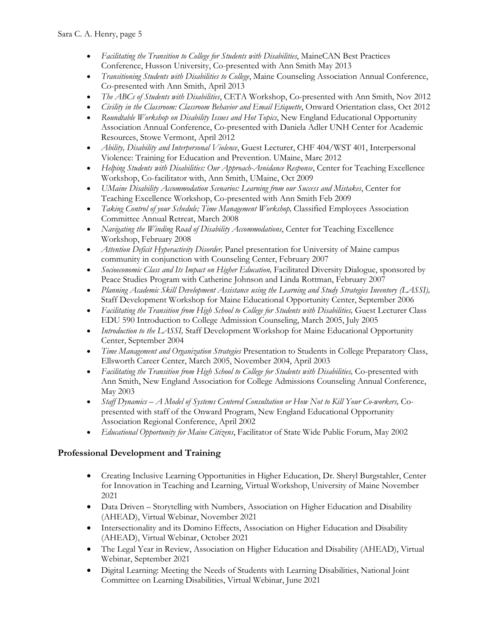- *Facilitating the Transition to College for Students with Disabilities*, MaineCAN Best Practices Conference, Husson University, Co-presented with Ann Smith May 2013
- *Transitioning Students with Disabilities to College*, Maine Counseling Association Annual Conference, Co-presented with Ann Smith, April 2013
- *The ABCs of Students with Disabilities*, CETA Workshop, Co-presented with Ann Smith, Nov 2012
- *Civility in the Classroom: Classroom Behavior and Email Etiquette*, Onward Orientation class, Oct 2012
- *Roundtable Workshop on Disability Issues and Hot Topics*, New England Educational Opportunity Association Annual Conference, Co-presented with Daniela Adler UNH Center for Academic Resources, Stowe Vermont, April 2012
- *Ability, Disability and Interpersonal Violence*, Guest Lecturer, CHF 404/WST 401, Interpersonal Violence: Training for Education and Prevention. UMaine, Marc 2012
- *Helping Students with Disabilities: Our Approach-Avoidance Response*, Center for Teaching Excellence Workshop, Co-facilitator with, Ann Smith, UMaine, Oct 2009
- *UMaine Disability Accommodation Scenarios: Learning from our Success and Mistakes*, Center for Teaching Excellence Workshop, Co-presented with Ann Smith Feb 2009
- *Taking Control of your Schedule; Time Management Workshop*, Classified Employees Association Committee Annual Retreat, March 2008
- *Navigating the Winding Road of Disability Accommodations*, Center for Teaching Excellence Workshop, February 2008
- *Attention Deficit Hyperactivity Disorder,* Panel presentation for University of Maine campus community in conjunction with Counseling Center, February 2007
- *Socioeconomic Class and Its Impact on Higher Education*, Facilitated Diversity Dialogue, sponsored by Peace Studies Program with Catherine Johnson and Linda Rottman, February 2007
- *Planning Academic Skill Development Assistance using the Learning and Study Strategies Inventory (LASSI),* Staff Development Workshop for Maine Educational Opportunity Center, September 2006
- Facilitating the Transition from High School to College for Students with Disabilities, Guest Lecturer Class EDU 590 Introduction to College Admission Counseling, March 2005, July 2005
- *Introduction to the LASSI,* Staff Development Workshop for Maine Educational Opportunity Center, September 2004
- *Time Management and Organization Strategies* Presentation to Students in College Preparatory Class, Ellsworth Career Center, March 2005, November 2004, April 2003
- Facilitating the Transition from High School to College for Students with Disabilities, Co-presented with Ann Smith, New England Association for College Admissions Counseling Annual Conference, May 2003
- *Staff Dynamics – A Model of Systems Centered Consultation or How Not to Kill Your Co-workers,* Copresented with staff of the Onward Program, New England Educational Opportunity Association Regional Conference, April 2002
- *Educational Opportunity for Maine Citizens*, Facilitator of State Wide Public Forum, May 2002

### **Professional Development and Training**

- Creating Inclusive Learning Opportunities in Higher Education, Dr. Sheryl Burgstahler, Center for Innovation in Teaching and Learning, Virtual Workshop, University of Maine November 2021
- Data Driven Storytelling with Numbers, Association on Higher Education and Disability (AHEAD), Virtual Webinar, November 2021
- Intersectionality and its Domino Effects, Association on Higher Education and Disability (AHEAD), Virtual Webinar, October 2021
- The Legal Year in Review, Association on Higher Education and Disability (AHEAD), Virtual Webinar, September 2021
- Digital Learning: Meeting the Needs of Students with Learning Disabilities, National Joint Committee on Learning Disabilities, Virtual Webinar, June 2021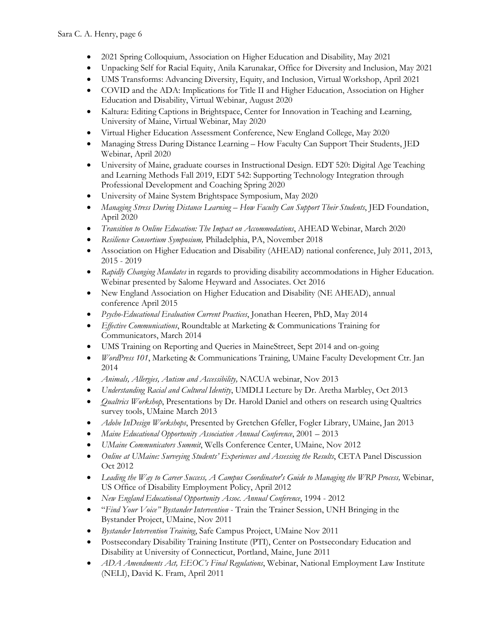- 2021 Spring Colloquium, Association on Higher Education and Disability, May 2021
- Unpacking Self for Racial Equity, Anila Karunakar, Office for Diversity and Inclusion, May 2021
- UMS Transforms: Advancing Diversity, Equity, and Inclusion, Virtual Workshop, April 2021
- COVID and the ADA: Implications for Title II and Higher Education, Association on Higher Education and Disability, Virtual Webinar, August 2020
- Kaltura: Editing Captions in Brightspace, Center for Innovation in Teaching and Learning, University of Maine, Virtual Webinar, May 2020
- Virtual Higher Education Assessment Conference, New England College, May 2020
- Managing Stress During Distance Learning How Faculty Can Support Their Students, JED Webinar, April 2020
- University of Maine, graduate courses in Instructional Design. EDT 520: Digital Age Teaching and Learning Methods Fall 2019, EDT 542: Supporting Technology Integration through Professional Development and Coaching Spring 2020
- University of Maine System Brightspace Symposium, May 2020
- *Managing Stress During Distance Learning – How Faculty Can Support Their Students*, JED Foundation, April 2020
- *Transition to Online Education: The Impact on Accommodations*, AHEAD Webinar, March 2020
- *Resilience Consortium Symposium,* Philadelphia, PA, November 2018
- Association on Higher Education and Disability (AHEAD) national conference, July 2011, 2013, 2015 - 2019
- *Rapidly Changing Mandates* in regards to providing disability accommodations in Higher Education. Webinar presented by Salome Heyward and Associates. Oct 2016
- New England Association on Higher Education and Disability (NE AHEAD), annual conference April 2015
- *Psycho-Educational Evaluation Current Practices*, Jonathan Heeren, PhD, May 2014
- *Effective Communications*, Roundtable at Marketing & Communications Training for Communicators, March 2014
- UMS Training on Reporting and Queries in MaineStreet, Sept 2014 and on-going
- *WordPress 101*, Marketing & Communications Training, UMaine Faculty Development Ctr. Jan 2014
- *Animals, Allergies, Autism and Accessibility,* NACUA webinar, Nov 2013
- *Understanding Racial and Cultural Identity*, UMDLI Lecture by Dr. Aretha Marbley, Oct 2013
- *Qualtrics Workshop*, Presentations by Dr. Harold Daniel and others on research using Qualtrics survey tools, UMaine March 2013
- *Adobe InDesign Workshops*, Presented by Gretchen Gfeller, Fogler Library, UMaine, Jan 2013
- *Maine Educational Opportunity Association Annual Conference*, 2001 2013
- *UMaine Communicators Summit*, Wells Conference Center, UMaine, Nov 2012
- *Online at UMaine: Surveying Students' Experiences and Assessing the Results*, CETA Panel Discussion Oct 2012
- *Leading the Way to Career Success, A Campus Coordinator's Guide to Managing the WRP Process,* Webinar, US Office of Disability Employment Policy, April 2012
- *New England Educational Opportunity Assoc. Annual Conference*, 1994 2012
- "*Find Your Voice" Bystander Intervention* Train the Trainer Session, UNH Bringing in the Bystander Project, UMaine, Nov 2011
- *Bystander Intervention Training*, Safe Campus Project, UMaine Nov 2011
- Postsecondary Disability Training Institute (PTI), Center on Postsecondary Education and Disability at University of Connecticut, Portland, Maine, June 2011
- *ADA Amendments Act, EEOC's Final Regulations*, Webinar, National Employment Law Institute (NELI), David K. Fram, April 2011